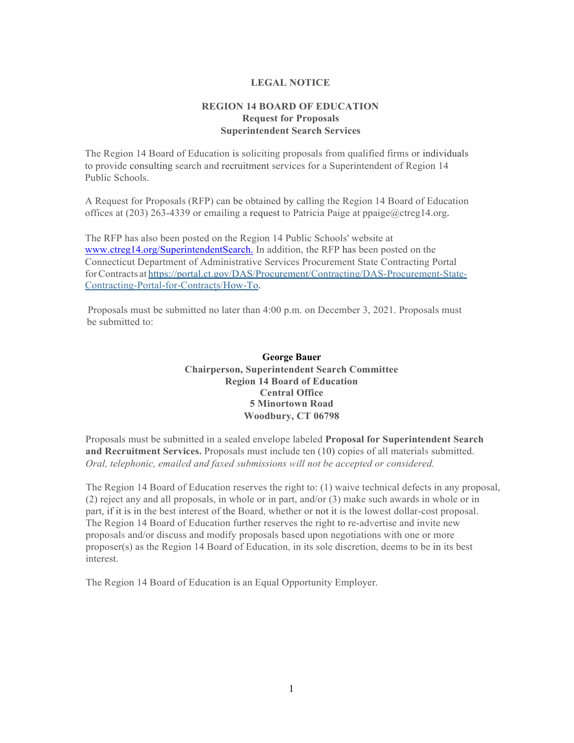## **LEGAL NOTICE**

## **REGION 14 BOARD OF EDUCATION Request for Proposals Superintendent Search Services**

The Region 14 Board of Education is soliciting proposals from qualified firms or individuals to provide consulting search and recruitment services for a Superintendent of Region 14 Public Schools.

A Request for Proposals (RFP) can be obtained by calling the Region 14 Board of Education offices at  $(203)$  263-4339 or emailing a request to Patricia Paige at ppaige $@ctreg14.org$ .

The RFP has also been posted on the Region 14 Public Schools' website at [www.ctreg14.org/SuperintendentSearch.](http://www.ctreg14.org/SuperintendentSearch) In addition, the RFP has been posted on the Connecticut Department of Administrative Services Procurement State Contracting Portal forContracts at https://portal.ct.gov/DAS/Procurement/Contracting/DAS-Procurement-State-Contracting-Portal-for-Contracts/How-To.

Proposals must be submitted no later than 4:00 p.m. on December 3, 2021. Proposals must be submitted to:

> **George Bauer Chairperson, Superintendent Search Committee Region 14 Board of Education Central Office 5 Minortown Road Woodbury, CT 06798**

Proposals must be submitted in a sealed envelope labeled **Proposal for Superintendent Search and Recruitment Services.** Proposals must include ten (10) copies of all materials submitted. *Oral, telephonic, emailed and faxed submissions will not be accepted or considered.*

The Region 14 Board of Education reserves the right to: (1) waive technical defects in any proposal, (2) reject any and all proposals, in whole or in part, and/or (3) make such awards in whole or in part, if it is in the best interest of the Board, whether or not it is the lowest dollar-cost proposal. The Region 14 Board of Education further reserves the right to re-advertise and invite new proposals and/or discuss and modify proposals based upon negotiations with one or more proposer(s) as the Region 14 Board of Education, in its sole discretion, deems to be in its best interest.

The Region 14 Board of Education is an Equal Opportunity Employer.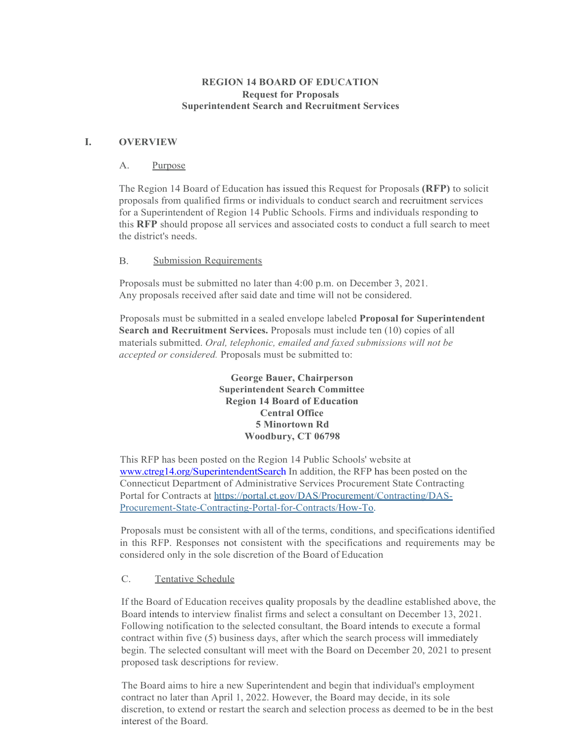## **REGION 14 BOARD OF EDUCATION Request for Proposals Superintendent Search and Recruitment Services**

## **I. OVERVIEW**

### A. Purpose

The Region 14 Board of Education has issued this Request for Proposals **(RFP)** to solicit proposals from qualified firms or individuals to conduct search and recruitment services for a Superintendent of Region 14 Public Schools. Firms and individuals responding to this **RFP** should propose all services and associated costs to conduct a full search to meet the district's needs.

### B. Submission Requirements

Proposals must be submitted no later than 4:00 p.m. on December 3, 2021. Any proposals received after said date and time will not be considered.

Proposals must be submitted in a sealed envelope labeled **Proposal for Superintendent Search and Recruitment Services.** Proposals must include ten (10) copies of all materials submitted. *Oral, telephonic, emailed and faxed submissions will not be accepted or considered.* Proposals must be submitted to:

> **George Bauer, Chairperson Superintendent Search Committee Region 14 Board of Education Central Office 5 Minortown Rd Woodbury, CT 06798**

This RFP has been posted on the Region 14 Public Schools' website at www.ctreg14.org/SuperintendentSearch In addition, the RFP has been posted on the Connecticut Department of Administrative Services Procurement State Contracting Portal for Contracts at https://portal.ct.gov/DAS/Procurement/Contracting/DAS-Procurement-State-Contracting-Portal-for-Contracts/How-To.

Proposals must be consistent with all of the terms, conditions, and specifications identified in this RFP. Responses not consistent with the specifications and requirements may be considered only in the sole discretion of the Board of Education

## C. Tentative Schedule

If the Board of Education receives quality proposals by the deadline established above, the Board intends to interview finalist firms and select a consultant on December 13, 2021. Following notification to the selected consultant, the Board intends to execute a formal contract within five (5) business days, after which the search process will immediately begin. The selected consultant will meet with the Board on December 20, 2021 to present proposed task descriptions for review.

The Board aims to hire a new Superintendent and begin that individual's employment contract no later than April 1, 2022. However, the Board may decide, in its sole discretion, to extend or restart the search and selection process as deemed to be in the best interest of the Board.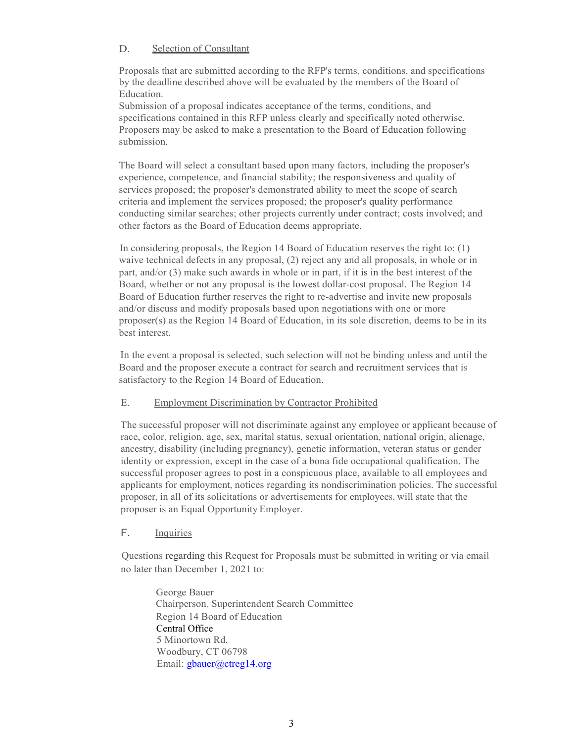## D. Selection of Consultant

Proposals that are submitted according to the RFP's terms, conditions, and specifications by the deadline described above will be evaluated by the members of the Board of Education.

Submission of a proposal indicates acceptance of the terms, conditions, and specifications contained in this RFP unless clearly and specifically noted otherwise. Proposers may be asked to make a presentation to the Board of Education following submission.

The Board will select a consultant based upon many factors, including the proposer's experience, competence, and financial stability; the responsiveness and quality of services proposed; the proposer's demonstrated ability to meet the scope of search criteria and implement the services proposed; the proposer's quality performance conducting similar searches; other projects currently under contract; costs involved; and other factors as the Board of Education deems appropriate.

In considering proposals, the Region 14 Board of Education reserves the right to: (1) waive technical defects in any proposal, (2) reject any and all proposals, in whole or in part, and/or (3) make such awards in whole or in part, if it is in the best interest of the Board, whether or not any proposal is the lowest dollar-cost proposal. The Region 14 Board of Education further reserves the right to re-advertise and invite new proposals and/or discuss and modify proposals based upon negotiations with one or more proposer(s) as the Region 14 Board of Education, in its sole discretion, deems to be in its best interest.

In the event a proposal is selected, such selection will not be binding unless and until the Board and the proposer execute a contract for search and recruitment services that is satisfactory to the Region 14 Board of Education.

## E. Employment Discrimination by Contractor Prohibited

The successful proposer will not discriminate against any employee or applicant because of race, color, religion, age, sex, marital status, sexual orientation, national origin, alienage, ancestry, disability (including pregnancy), genetic information, veteran status or gender identity or expression, except in the case of a bona fide occupational qualification. The successful proposer agrees to post in a conspicuous place, available to all employees and applicants for employment, notices regarding its nondiscrimination policies. The successful proposer, in all of its solicitations or advertisements for employees, will state that the proposer is an Equal Opportunity Employer.

## F. Inquiries

Questions regarding this Request for Proposals must be submitted in writing or via email no later than December 1, 2021 to:

George Bauer Chairperson, Superintendent Search Committee Region 14 Board of Education Central Office 5 Minortown Rd. Woodbury, CT 06798 Email: [gbauer@ctreg14.org](mailto:gbauer@ctreg14.org)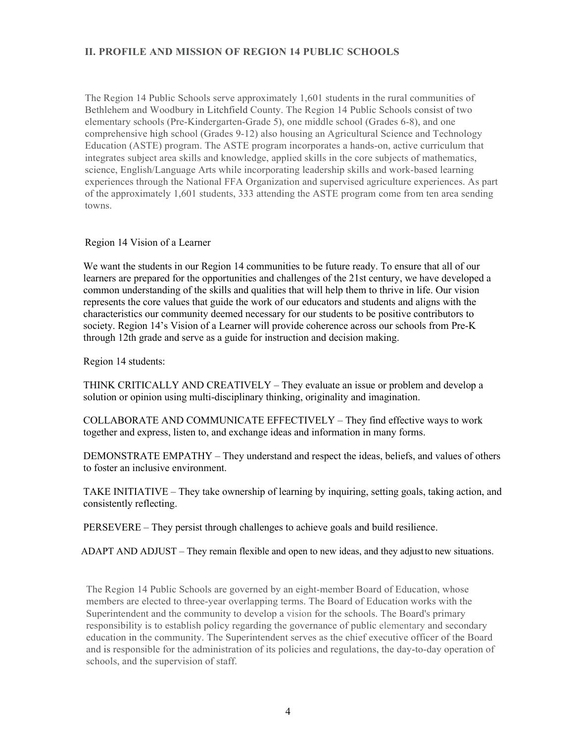# **II. PROFILE AND MISSION OF REGION 14 PUBLIC SCHOOLS**

The Region 14 Public Schools serve approximately 1,601 students in the rural communities of Bethlehem and Woodbury in Litchfield County. The Region 14 Public Schools consist of two elementary schools (Pre-Kindergarten-Grade 5), one middle school (Grades 6-8), and one comprehensive high school (Grades 9-12) also housing an Agricultural Science and Technology Education (ASTE) program. The ASTE program incorporates a hands-on, active curriculum that integrates subject area skills and knowledge, applied skills in the core subjects of mathematics, science, English/Language Arts while incorporating leadership skills and work-based learning experiences through the National FFA Organization and supervised agriculture experiences. As part of the approximately 1,601 students, 333 attending the ASTE program come from ten area sending towns.

### Region 14 Vision of a Learner

We want the students in our Region 14 communities to be future ready. To ensure that all of our learners are prepared for the opportunities and challenges of the 21st century, we have developed a common understanding of the skills and qualities that will help them to thrive in life. Our vision represents the core values that guide the work of our educators and students and aligns with the characteristics our community deemed necessary for our students to be positive contributors to society. Region 14's Vision of a Learner will provide coherence across our schools from Pre-K through 12th grade and serve as a guide for instruction and decision making.

Region 14 students:

THINK CRITICALLY AND CREATIVELY – They evaluate an issue or problem and develop a solution or opinion using multi-disciplinary thinking, originality and imagination.

COLLABORATE AND COMMUNICATE EFFECTIVELY – They find effective ways to work together and express, listen to, and exchange ideas and information in many forms.

DEMONSTRATE EMPATHY – They understand and respect the ideas, beliefs, and values of others to foster an inclusive environment.

TAKE INITIATIVE – They take ownership of learning by inquiring, setting goals, taking action, and consistently reflecting.

PERSEVERE – They persist through challenges to achieve goals and build resilience.

ADAPT AND ADJUST – They remain flexible and open to new ideas, and they adjustto new situations.

The Region 14 Public Schools are governed by an eight-member Board of Education, whose members are elected to three-year overlapping terms. The Board of Education works with the Superintendent and the community to develop a vision for the schools. The Board's primary responsibility is to establish policy regarding the governance of public elementary and secondary education in the community. The Superintendent serves as the chief executive officer of the Board and is responsible for the administration of its policies and regulations, the day-to-day operation of schools, and the supervision of staff.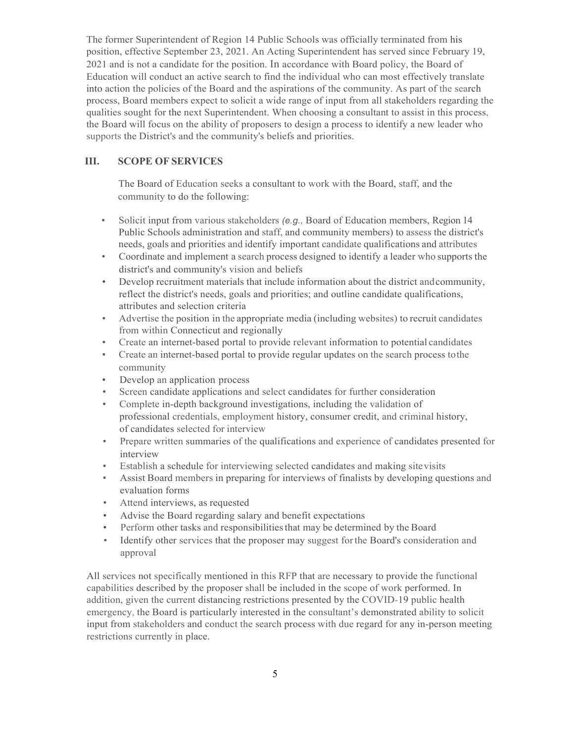The former Superintendent of Region 14 Public Schools was officially terminated from his position, effective September 23, 2021. An Acting Superintendent has served since February 19, 2021 and is not a candidate for the position. In accordance with Board policy, the Board of Education will conduct an active search to find the individual who can most effectively translate into action the policies of the Board and the aspirations of the community. As part of the search process, Board members expect to solicit a wide range of input from all stakeholders regarding the qualities sought for the next Superintendent. When choosing a consultant to assist in this process, the Board will focus on the ability of proposers to design a process to identify a new leader who supports the District's and the community's beliefs and priorities.

## **III. SCOPE OF SERVICES**

The Board of Education seeks a consultant to work with the Board, staff, and the community to do the following:

- Solicit input from various stakeholders *(e.g., Board of Education members, Region* 14 Public Schools administration and staff, and community members) to assess the district's needs, goals and priorities and identify important candidate qualifications and attributes
- Coordinate and implement a search process designed to identify a leader who supports the district's and community's vision and beliefs
- Develop recruitment materials that include information about the district andcommunity, reflect the district's needs, goals and priorities; and outline candidate qualifications, attributes and selection criteria
- Advertise the position in the appropriate media (including websites) to recruit candidates from within Connecticut and regionally
- Create an internet-based portal to provide relevant information to potential candidates
- Create an internet-based portal to provide regular updates on the search process tothe community
- Develop an application process
- Screen candidate applications and select candidates for further consideration
- Complete in-depth background investigations, including the validation of professional credentials, employment history, consumer credit, and criminal history, of candidates selected for interview
- Prepare written summaries of the qualifications and experience of candidates presented for interview
- Establish a schedule for interviewing selected candidates and making sitevisits
- Assist Board members in preparing for interviews of finalists by developing questions and evaluation forms
- Attend interviews, as requested
- Advise the Board regarding salary and benefit expectations
- Perform other tasks and responsibilities that may be determined by the Board
- Identify other services that the proposer may suggest forthe Board's consideration and approval

All services not specifically mentioned in this RFP that are necessary to provide the functional capabilities described by the proposer shall be included in the scope of work performed. In addition, given the current distancing restrictions presented by the COVID-19 public health emergency, the Board is particularly interested in the consultant's demonstrated ability to solicit input from stakeholders and conduct the search process with due regard for any in-person meeting restrictions currently in place.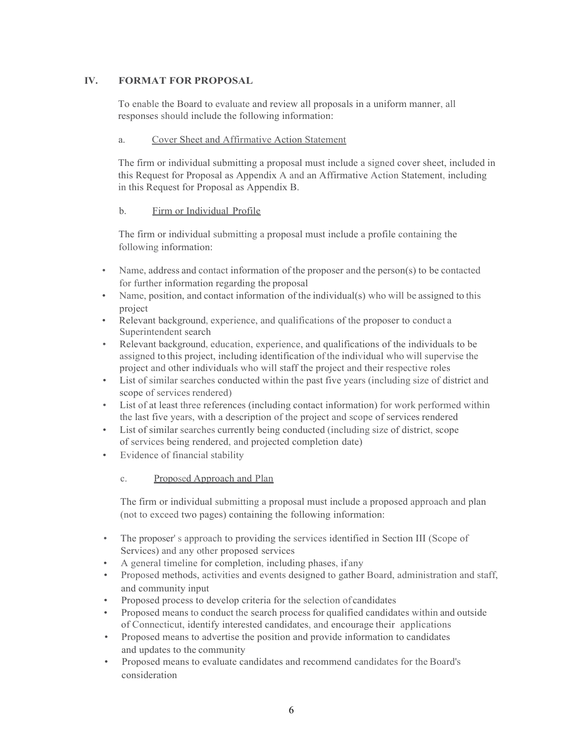# **IV. FORMAT FOR PROPOSAL**

To enable the Board to evaluate and review all proposals in a uniform manner, all responses should include the following information:

# a. Cover Sheet and Affirmative Action Statement

The firm or individual submitting a proposal must include a signed cover sheet, included in this Request for Proposal as Appendix A and an Affirmative Action Statement, including in this Request for Proposal as Appendix B.

# b. Firm or Individual Profile

The firm or individual submitting a proposal must include a profile containing the following information:

- Name, address and contact information of the proposer and the person(s) to be contacted for further information regarding the proposal
- Name, position, and contact information of the individual(s) who will be assigned to this project
- Relevant background, experience, and qualifications of the proposer to conduct a Superintendent search
- Relevant background, education, experience, and qualifications of the individuals to be assigned to this project, including identification of the individual who will supervise the project and other individuals who will staff the project and their respective roles
- List of similar searches conducted within the past five years (including size of district and scope of services rendered)
- List of at least three references (including contact information) for work performed within the last five years, with a description of the project and scope of services rendered
- List of similar searches currently being conducted (including size of district, scope of services being rendered, and projected completion date)
- Evidence of financial stability

# c. Proposed Approach and Plan

The firm or individual submitting a proposal must include a proposed approach and plan (not to exceed two pages) containing the following information:

- The proposer's approach to providing the services identified in Section III (Scope of Services) and any other proposed services
- A general timeline for completion, including phases, if any
- Proposed methods, activities and events designed to gather Board, administration and staff, and community input
- Proposed process to develop criteria for the selection of candidates
- Proposed means to conduct the search process for qualified candidates within and outside of Connecticut, identify interested candidates, and encourage their applications
- Proposed means to advertise the position and provide information to candidates and updates to the community
- Proposed means to evaluate candidates and recommend candidates for the Board's consideration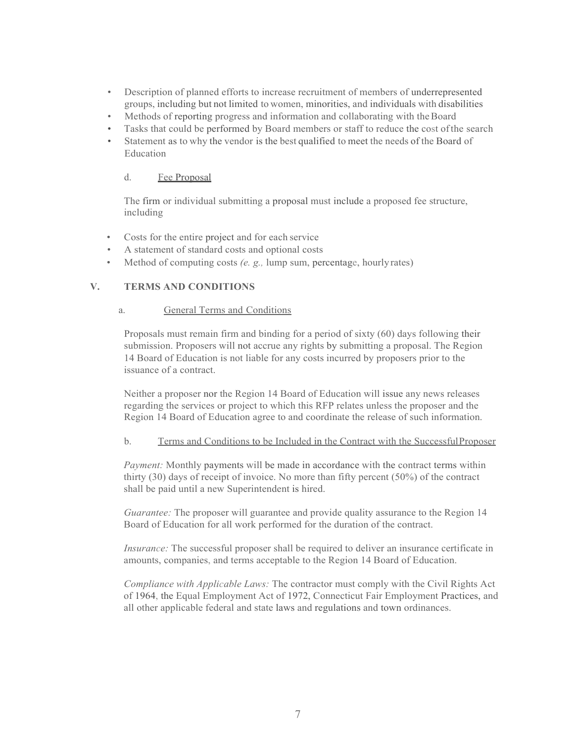- Description of planned efforts to increase recruitment of members of underrepresented groups, including but not limited to women, minorities, and individuals with disabilities
- Methods of reporting progress and information and collaborating with the Board
- Tasks that could be performed by Board members or staff to reduce the cost of the search
- Statement as to why the vendor is the best qualified to meet the needs of the Board of Education

## d. Fee Proposal

The firm or individual submitting a proposal must include a proposed fee structure, including

- Costs for the entire project and for each service
- A statement of standard costs and optional costs
- Method of computing costs *(e. g.,* lump sum, percentage, hourlyrates)

# **V. TERMS AND CONDITIONS**

### a. General Terms and Conditions

Proposals must remain firm and binding for a period of sixty (60) days following their submission. Proposers will not accrue any rights by submitting a proposal. The Region 14 Board of Education is not liable for any costs incurred by proposers prior to the issuance of a contract.

Neither a proposer nor the Region 14 Board of Education will issue any news releases regarding the services or project to which this RFP relates unless the proposer and the Region 14 Board of Education agree to and coordinate the release of such information.

#### b. Terms and Conditions to be Included in the Contract with the SuccessfulProposer

*Payment:* Monthly payments will be made in accordance with the contract terms within thirty (30) days of receipt of invoice. No more than fifty percent (50%) of the contract shall be paid until a new Superintendent is hired.

*Guarantee:* The proposer will guarantee and provide quality assurance to the Region 14 Board of Education for all work performed for the duration of the contract.

*Insurance:* The successful proposer shall be required to deliver an insurance certificate in amounts, companies, and terms acceptable to the Region 14 Board of Education.

*Compliance with Applicable Laws:* The contractor must comply with the Civil Rights Act of 1964, the Equal Employment Act of 1972, Connecticut Fair Employment Practices, and all other applicable federal and state laws and regulations and town ordinances.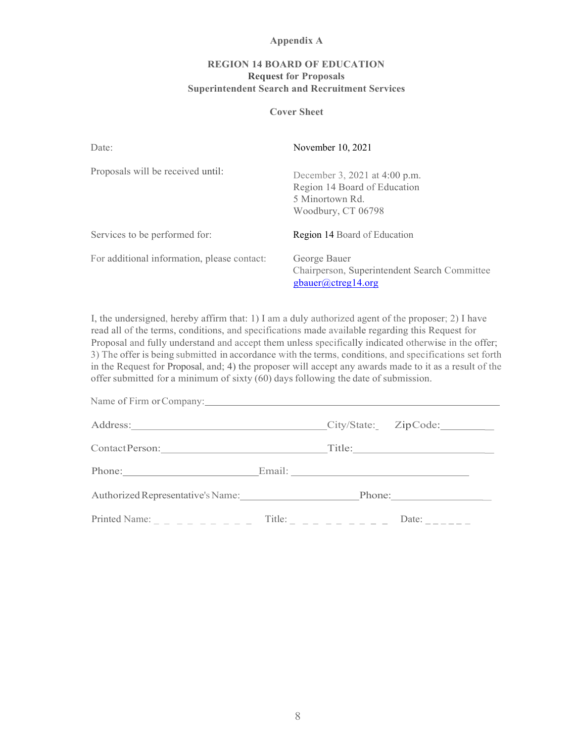#### **Appendix A**

## **REGION 14 BOARD OF EDUCATION Request for Proposals Superintendent Search and Recruitment Services**

#### **Cover Sheet**

| Date:                                       | November 10, 2021                                                                                      |
|---------------------------------------------|--------------------------------------------------------------------------------------------------------|
| Proposals will be received until:           | December 3, 2021 at 4:00 p.m.<br>Region 14 Board of Education<br>5 Minortown Rd.<br>Woodbury, CT 06798 |
| Services to be performed for:               | <b>Region 14 Board of Education</b>                                                                    |
| For additional information, please contact: | George Bauer<br>Chairperson, Superintendent Search Committee<br>gbauer@ctreg14.org                     |

I, the undersigned, hereby affirm that: 1) I am a duly authorized agent of the proposer; 2) I have read all of the terms, conditions, and specifications made available regarding this Request for Proposal and fully understand and accept them unless specifically indicated otherwise in the offer; 3) The offer is being submitted in accordance with the terms, conditions, and specifications set forth in the Request for Proposal, and; 4) the proposer will accept any awards made to it as a result of the offer submitted for a minimum of sixty  $(60)$  days following the date of submission.

| Phone: Email: Email:                                   |  |                                                 |
|--------------------------------------------------------|--|-------------------------------------------------|
| Authorized Representative's Name: Phone: Phone:        |  |                                                 |
| Printed Name: _ _ _ _ _ _ _ _ _ Title: _ _ _ _ _ _ _ _ |  | Date: $\frac{1}{2}$ $\frac{1}{2}$ $\frac{1}{2}$ |